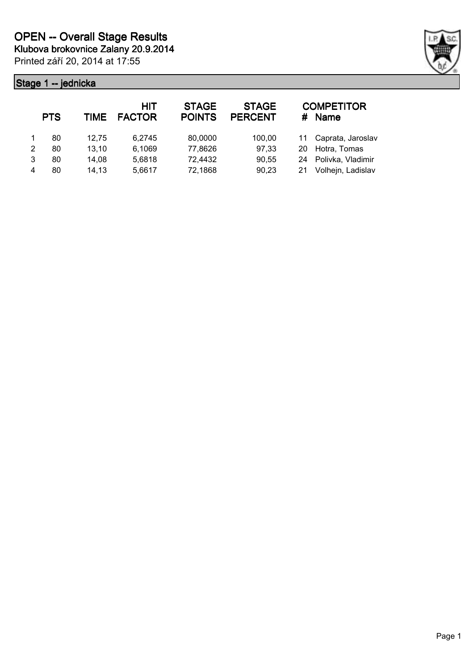

|               | <b>PTS</b> | <b>TIME</b> | <b>HIT</b><br><b>FACTOR</b> | <b>STAGE</b><br><b>POINTS</b> | <b>STAGE</b><br><b>PERCENT</b> | #  | <b>COMPETITOR</b><br>Name |
|---------------|------------|-------------|-----------------------------|-------------------------------|--------------------------------|----|---------------------------|
|               | 80         | 12.75       | 6.2745                      | 80,0000                       | 100,00                         |    | 11 Caprata, Jaroslav      |
| $\mathcal{P}$ | 80         | 13,10       | 6,1069                      | 77,8626                       | 97,33                          | 20 | Hotra, Tomas              |
| 3             | 80         | 14,08       | 5,6818                      | 72,4432                       | 90,55                          |    | 24 Polivka, Vladimir      |
| 4             | 80         | 14,13       | 5,6617                      | 72,1868                       | 90,23                          | 21 | Volhejn, Ladislav         |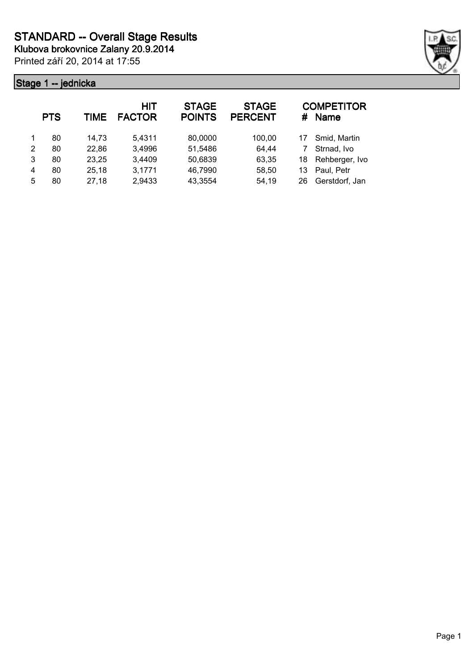**Klubova brokovnice Zalany 20.9.2014**

Printed září 20, 2014 at 17:55



|   | <b>PTS</b> | TIME  | HIT<br><b>FACTOR</b> | <b>STAGE</b><br><b>POINTS</b> | <b>STAGE</b><br><b>PERCENT</b> | #  | <b>COMPETITOR</b><br><b>Name</b> |
|---|------------|-------|----------------------|-------------------------------|--------------------------------|----|----------------------------------|
|   | 80         | 14.73 | 5,4311               | 80,0000                       | 100,00                         | 17 | Smid, Martin                     |
| 2 | 80         | 22,86 | 3,4996               | 51,5486                       | 64,44                          |    | Strnad, Ivo                      |
| 3 | 80         | 23,25 | 3,4409               | 50,6839                       | 63,35                          | 18 | Rehberger, Ivo                   |
| 4 | 80         | 25,18 | 3,1771               | 46,7990                       | 58,50                          | 13 | Paul, Petr                       |
| 5 | 80         | 27,18 | 2,9433               | 43,3554                       | 54,19                          | 26 | Gerstdorf, Jan                   |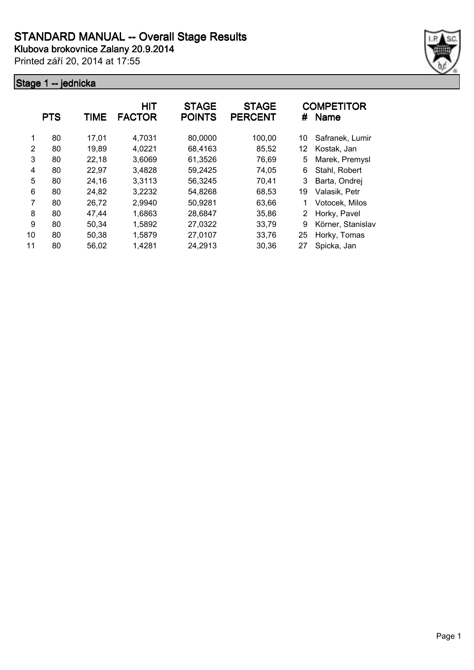

|    | <b>PTS</b> | TIME  | <b>HIT</b><br><b>FACTOR</b> | <b>STAGE</b><br><b>POINTS</b> | <b>STAGE</b><br><b>PERCENT</b> | #  | <b>COMPETITOR</b><br><b>Name</b> |
|----|------------|-------|-----------------------------|-------------------------------|--------------------------------|----|----------------------------------|
| 1  | 80         | 17,01 | 4,7031                      | 80,0000                       | 100,00                         | 10 | Safranek, Lumir                  |
| 2  | 80         | 19,89 | 4,0221                      | 68,4163                       | 85,52                          | 12 | Kostak, Jan                      |
| 3  | 80         | 22,18 | 3,6069                      | 61,3526                       | 76,69                          | 5  | Marek, Premysl                   |
| 4  | 80         | 22,97 | 3,4828                      | 59,2425                       | 74,05                          | 6  | Stahl, Robert                    |
| 5  | 80         | 24,16 | 3,3113                      | 56,3245                       | 70,41                          | 3  | Barta, Ondrej                    |
| 6  | 80         | 24,82 | 3,2232                      | 54,8268                       | 68,53                          | 19 | Valasik, Petr                    |
| 7  | 80         | 26,72 | 2,9940                      | 50,9281                       | 63,66                          |    | Votocek, Milos                   |
| 8  | 80         | 47.44 | 1,6863                      | 28,6847                       | 35,86                          | 2  | Horky, Pavel                     |
| 9  | 80         | 50,34 | 1,5892                      | 27,0322                       | 33,79                          | 9  | Körner, Stanislav                |
| 10 | 80         | 50,38 | 1,5879                      | 27,0107                       | 33,76                          | 25 | Horky, Tomas                     |
| 11 | 80         | 56,02 | 1,4281                      | 24,2913                       | 30,36                          | 27 | Spicka, Jan                      |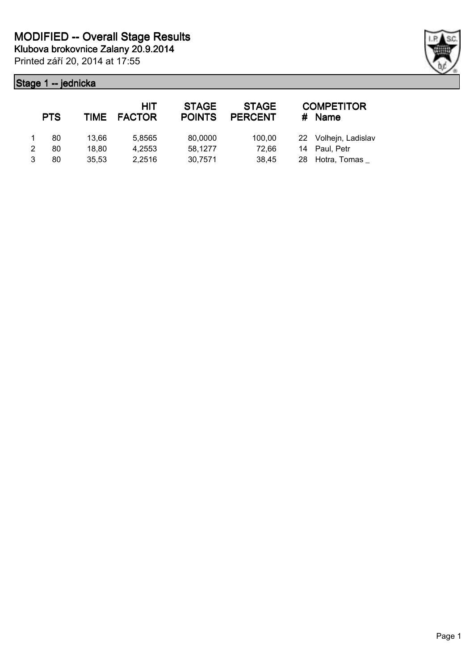|   | <b>PTS</b> |       | HIT<br>TIME FACTOR | <b>STAGE</b><br><b>POINTS</b> | <b>STAGE</b><br><b>PERCENT</b> | <b>COMPETITOR</b><br># Name |
|---|------------|-------|--------------------|-------------------------------|--------------------------------|-----------------------------|
|   | 80         | 13.66 | 5.8565             | 80,0000                       | 100.00                         | 22 Volhejn, Ladislav        |
| 2 | 80         | 18,80 | 4.2553             | 58,1277                       | 72,66                          | 14 Paul, Petr               |
| 3 | 80         | 35.53 | 2.2516             | 30,7571                       | 38,45                          | 28 Hotra, Tomas             |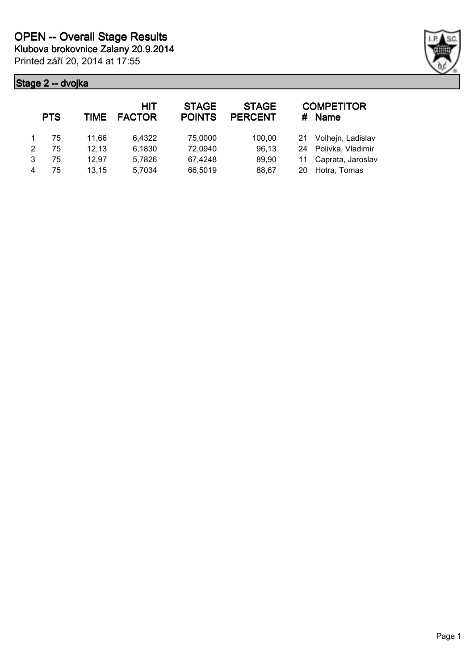

|   | <b>PTS</b> | TIME  | <b>HIT</b><br><b>FACTOR</b> | <b>STAGE</b><br><b>POINTS</b> | <b>STAGE</b><br><b>PERCENT</b> |     | <b>COMPETITOR</b><br># Name |
|---|------------|-------|-----------------------------|-------------------------------|--------------------------------|-----|-----------------------------|
|   | 75         | 11.66 | 6.4322                      | 75,0000                       | 100,00                         | 21  | Volhejn, Ladislav           |
| 2 | 75         | 12,13 | 6,1830                      | 72,0940                       | 96,13                          |     | 24 Polivka, Vladimir        |
| 3 | 75         | 12,97 | 5,7826                      | 67,4248                       | 89,90                          |     | 11 Caprata, Jaroslav        |
|   | 75         | 13,15 | 5,7034                      | 66,5019                       | 88,67                          | 20. | Hotra, Tomas                |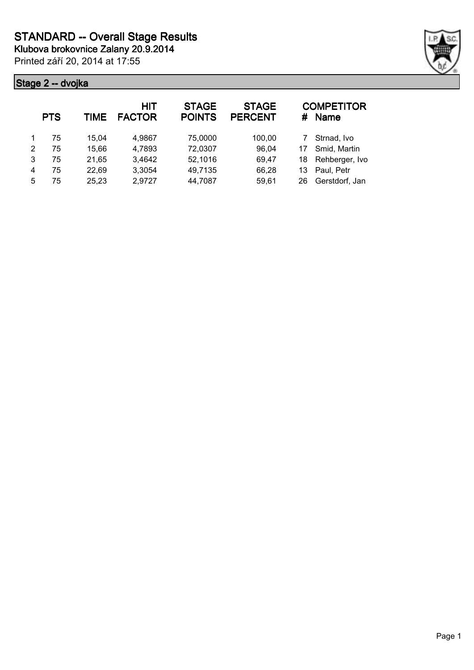**Klubova brokovnice Zalany 20.9.2014**

Printed září 20, 2014 at 17:55



|   | <b>PTS</b> | TIME  | <b>HIT</b><br><b>FACTOR</b> | <b>STAGE</b><br><b>POINTS</b> | <b>STAGE</b><br><b>PERCENT</b> | #  | <b>COMPETITOR</b><br>Name |
|---|------------|-------|-----------------------------|-------------------------------|--------------------------------|----|---------------------------|
|   | 75         | 15.04 | 4,9867                      | 75,0000                       | 100,00                         |    | Strnad, Ivo               |
| 2 | 75         | 15,66 | 4,7893                      | 72,0307                       | 96,04                          | 17 | Smid, Martin              |
| 3 | 75         | 21,65 | 3,4642                      | 52,1016                       | 69,47                          | 18 | Rehberger, Ivo            |
| 4 | 75         | 22,69 | 3,3054                      | 49,7135                       | 66,28                          | 13 | Paul, Petr                |
| 5 | 75         | 25,23 | 2,9727                      | 44,7087                       | 59,61                          | 26 | Gerstdorf, Jan            |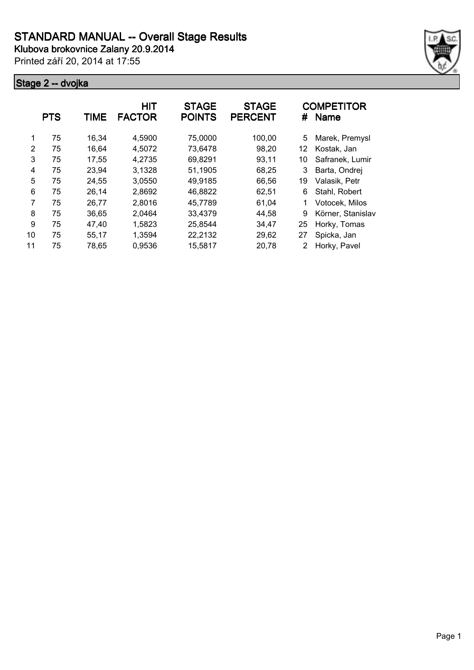

|    | <b>PTS</b> | TIME  | <b>HIT</b><br><b>FACTOR</b> | <b>STAGE</b><br><b>POINTS</b> | <b>STAGE</b><br><b>PERCENT</b> | #  | <b>COMPETITOR</b><br><b>Name</b> |
|----|------------|-------|-----------------------------|-------------------------------|--------------------------------|----|----------------------------------|
| 1  | 75         | 16.34 | 4,5900                      | 75,0000                       | 100,00                         | 5  | Marek, Premysl                   |
| 2  | 75         | 16,64 | 4,5072                      | 73,6478                       | 98,20                          | 12 | Kostak, Jan                      |
| 3  | 75         | 17,55 | 4,2735                      | 69,8291                       | 93,11                          | 10 | Safranek, Lumir                  |
| 4  | 75         | 23,94 | 3,1328                      | 51,1905                       | 68,25                          | 3  | Barta, Ondrej                    |
| 5  | 75         | 24,55 | 3,0550                      | 49,9185                       | 66,56                          | 19 | Valasik, Petr                    |
| 6  | 75         | 26,14 | 2,8692                      | 46,8822                       | 62,51                          | 6  | Stahl, Robert                    |
| 7  | 75         | 26,77 | 2,8016                      | 45,7789                       | 61,04                          | 1  | Votocek, Milos                   |
| 8  | 75         | 36.65 | 2,0464                      | 33,4379                       | 44,58                          | 9  | Körner, Stanislav                |
| 9  | 75         | 47,40 | 1,5823                      | 25,8544                       | 34,47                          | 25 | Horky, Tomas                     |
| 10 | 75         | 55,17 | 1,3594                      | 22,2132                       | 29,62                          | 27 | Spicka, Jan                      |
| 11 | 75         | 78,65 | 0,9536                      | 15,5817                       | 20,78                          |    | Horky, Pavel                     |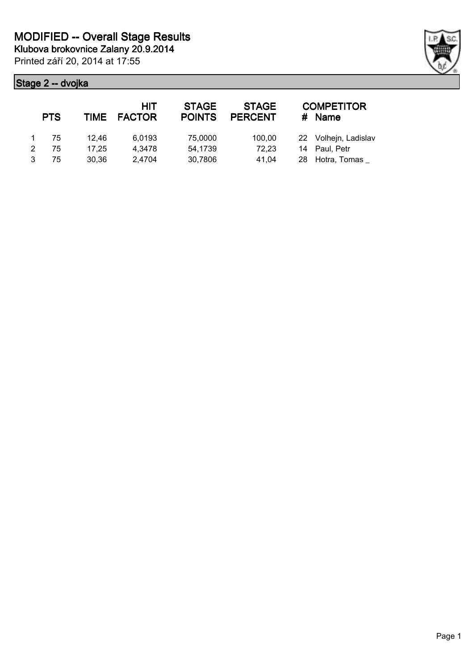|   | <b>PTS</b> | TIME  | HIT<br><b>FACTOR</b> | <b>STAGE</b><br><b>POINTS</b> | <b>STAGE</b><br><b>PERCENT</b> | <b>COMPETITOR</b><br># Name |
|---|------------|-------|----------------------|-------------------------------|--------------------------------|-----------------------------|
|   | 75         | 12.46 | 6,0193               | 75,0000                       | 100,00                         | 22 Volhejn, Ladislav        |
| 2 | 75         | 17.25 | 4,3478               | 54,1739                       | 72,23                          | 14 Paul, Petr               |
| 3 | 75         | 30.36 | 2.4704               | 30,7806                       | 41.04                          | 28 Hotra, Tomas             |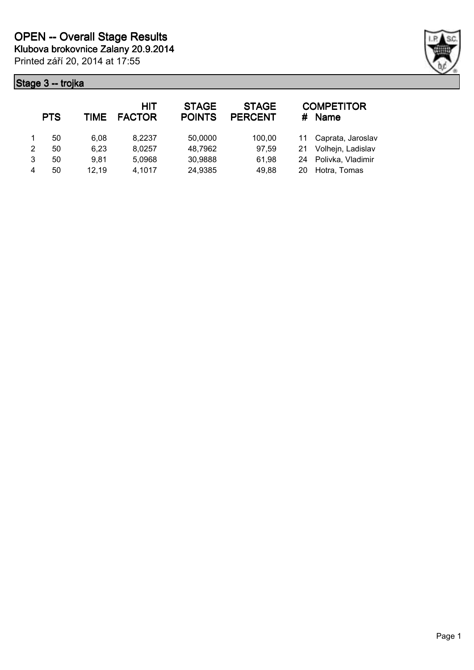

|   | <b>PTS</b> | TIME  | <b>HIT</b><br><b>FACTOR</b> | <b>STAGE</b><br><b>POINTS</b> | <b>STAGE</b><br><b>PERCENT</b> |     | <b>COMPETITOR</b><br># Name |
|---|------------|-------|-----------------------------|-------------------------------|--------------------------------|-----|-----------------------------|
|   | 50         | 6.08  | 8,2237                      | 50,0000                       | 100,00                         |     | 11 Caprata, Jaroslav        |
| 2 | 50         | 6,23  | 8,0257                      | 48,7962                       | 97,59                          | 21  | Volhejn, Ladislav           |
| 3 | 50         | 9.81  | 5,0968                      | 30,9888                       | 61,98                          |     | 24 Polivka, Vladimir        |
| 4 | 50         | 12,19 | 4,1017                      | 24,9385                       | 49,88                          | 20. | Hotra, Tomas                |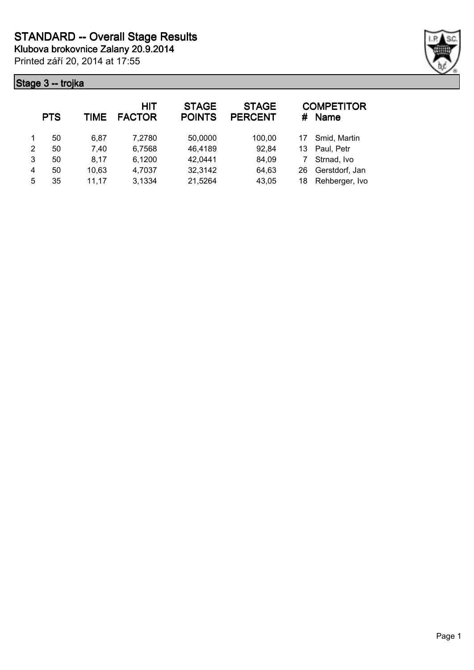**Klubova brokovnice Zalany 20.9.2014**

Printed září 20, 2014 at 17:55



|   | <b>PTS</b> | TIME  | HIT<br><b>FACTOR</b> | <b>STAGE</b><br><b>POINTS</b> | <b>STAGE</b><br><b>PERCENT</b> | #  | <b>COMPETITOR</b><br><b>Name</b> |
|---|------------|-------|----------------------|-------------------------------|--------------------------------|----|----------------------------------|
|   | 50         | 6.87  | 7,2780               | 50,0000                       | 100,00                         | 17 | Smid, Martin                     |
| 2 | 50         | 7,40  | 6,7568               | 46,4189                       | 92,84                          | 13 | Paul, Petr                       |
| 3 | 50         | 8,17  | 6,1200               | 42,0441                       | 84,09                          |    | Strnad, Ivo                      |
| 4 | 50         | 10,63 | 4,7037               | 32,3142                       | 64,63                          | 26 | Gerstdorf, Jan                   |
| 5 | 35         | 11.17 | 3,1334               | 21,5264                       | 43,05                          | 18 | Rehberger, Ivo                   |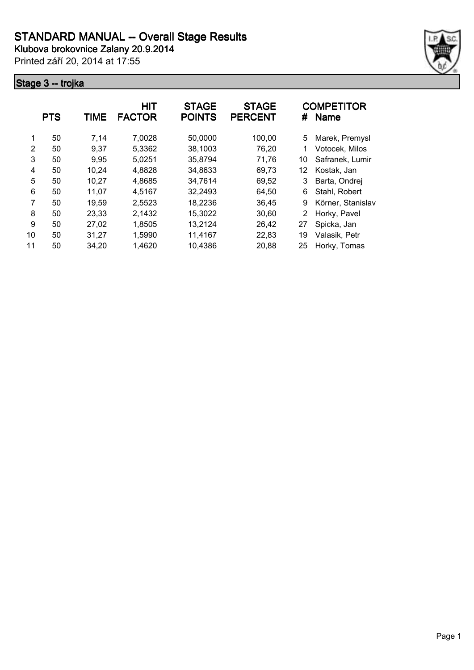

|    | <b>PTS</b> | <b>TIME</b> | <b>HIT</b><br><b>FACTOR</b> | <b>STAGE</b><br><b>POINTS</b> | <b>STAGE</b><br><b>PERCENT</b> | #           | <b>COMPETITOR</b><br><b>Name</b> |
|----|------------|-------------|-----------------------------|-------------------------------|--------------------------------|-------------|----------------------------------|
| 1  | 50         | 7,14        | 7,0028                      | 50,0000                       | 100,00                         | 5           | Marek, Premysl                   |
| 2  | 50         | 9,37        | 5,3362                      | 38,1003                       | 76,20                          | $\mathbf 1$ | Votocek, Milos                   |
| 3  | 50         | 9,95        | 5,0251                      | 35,8794                       | 71,76                          | 10          | Safranek, Lumir                  |
| 4  | 50         | 10,24       | 4,8828                      | 34,8633                       | 69,73                          | 12          | Kostak, Jan                      |
| 5  | 50         | 10,27       | 4,8685                      | 34,7614                       | 69,52                          | 3           | Barta, Ondrej                    |
| 6  | 50         | 11,07       | 4,5167                      | 32,2493                       | 64,50                          | 6           | Stahl, Robert                    |
| 7  | 50         | 19.59       | 2,5523                      | 18,2236                       | 36,45                          | 9           | Körner, Stanislav                |
| 8  | 50         | 23,33       | 2,1432                      | 15,3022                       | 30,60                          | 2           | Horky, Pavel                     |
| 9  | 50         | 27,02       | 1,8505                      | 13,2124                       | 26,42                          | 27          | Spicka, Jan                      |
| 10 | 50         | 31,27       | 1,5990                      | 11,4167                       | 22,83                          | 19          | Valasik, Petr                    |
| 11 | 50         | 34,20       | 1,4620                      | 10,4386                       | 20,88                          | 25          | Horky, Tomas                     |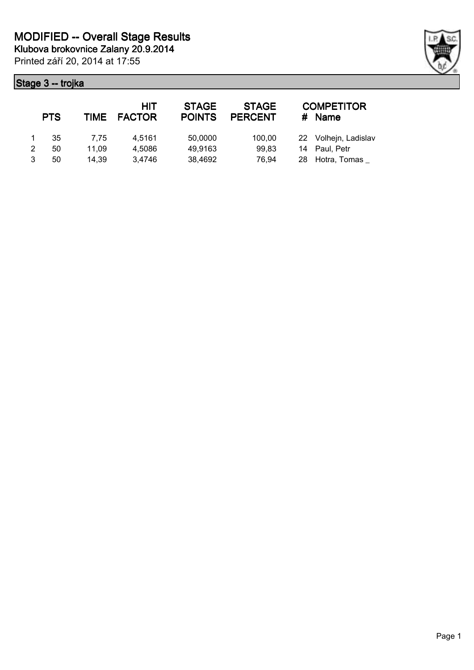|   | <b>PTS</b> |       | HIT<br>TIME FACTOR | <b>STAGE</b><br><b>POINTS</b> | <b>STAGE</b><br><b>PERCENT</b> | #  | <b>COMPETITOR</b><br>Name |
|---|------------|-------|--------------------|-------------------------------|--------------------------------|----|---------------------------|
|   | 35         | 7.75  | 4.5161             | 50,0000                       | 100,00                         |    | 22 Volhejn, Ladislav      |
| 2 | 50         | 11.09 | 4.5086             | 49,9163                       | 99,83                          |    | 14 Paul. Petr             |
| 3 | 50         | 14.39 | 3.4746             | 38,4692                       | 76.94                          | 28 | Hotra, Tomas              |

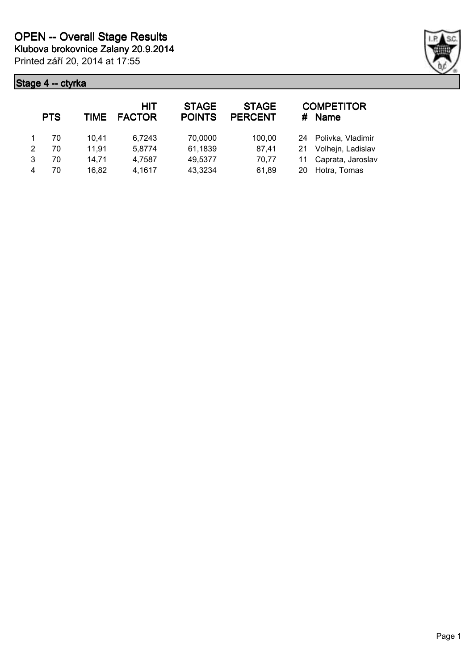

|   | <b>PTS</b> | TIME  | HIT<br><b>FACTOR</b> | <b>STAGE</b><br><b>POINTS</b> | <b>STAGE</b><br><b>PERCENT</b> | #  | <b>COMPETITOR</b><br><b>Name</b> |
|---|------------|-------|----------------------|-------------------------------|--------------------------------|----|----------------------------------|
|   | 70         | 10.41 | 6.7243               | 70,0000                       | 100,00                         |    | 24 Polivka, Vladimir             |
| 2 | 70         | 11.91 | 5,8774               | 61,1839                       | 87,41                          |    | 21 Volhejn, Ladislav             |
| 3 | 70         | 14,71 | 4,7587               | 49,5377                       | 70,77                          |    | 11 Caprata, Jaroslav             |
|   | 70         | 16,82 | 4,1617               | 43,3234                       | 61,89                          | 20 | Hotra, Tomas                     |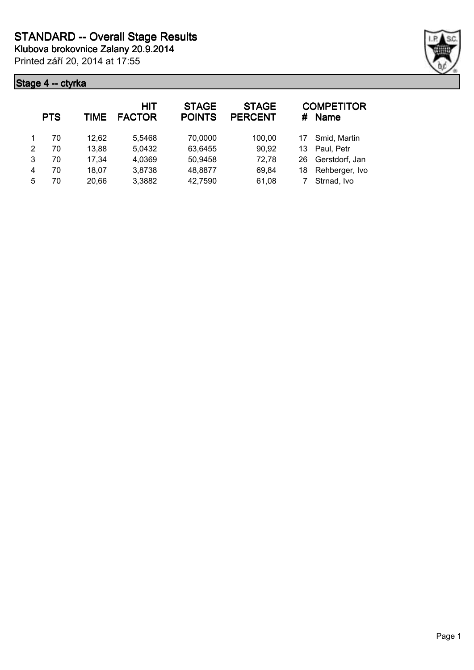**Klubova brokovnice Zalany 20.9.2014**

Printed září 20, 2014 at 17:55



|   | <b>PTS</b> | TIME  | HIT<br><b>FACTOR</b> | <b>STAGE</b><br><b>POINTS</b> | <b>STAGE</b><br><b>PERCENT</b> | #  | <b>COMPETITOR</b><br><b>Name</b> |
|---|------------|-------|----------------------|-------------------------------|--------------------------------|----|----------------------------------|
|   | 70         | 12,62 | 5,5468               | 70,0000                       | 100,00                         | 17 | Smid, Martin                     |
| 2 | 70         | 13,88 | 5,0432               | 63,6455                       | 90,92                          | 13 | Paul, Petr                       |
| 3 | 70         | 17,34 | 4,0369               | 50,9458                       | 72,78                          | 26 | Gerstdorf, Jan                   |
| 4 | 70         | 18,07 | 3,8738               | 48,8877                       | 69,84                          | 18 | Rehberger, Ivo                   |
| 5 | 70         | 20,66 | 3,3882               | 42,7590                       | 61,08                          |    | Strnad, Ivo                      |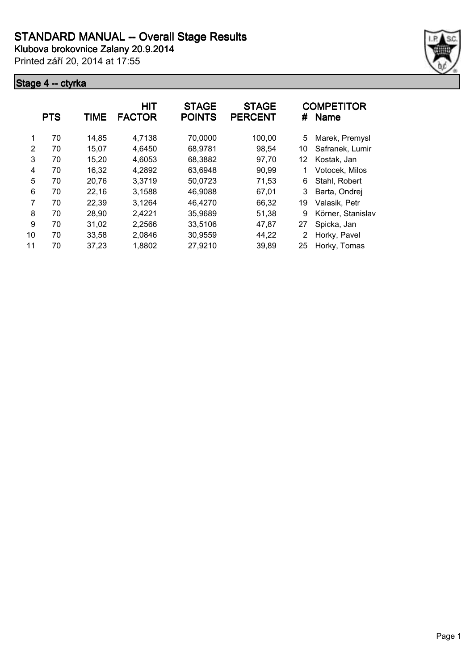

|    | <b>PTS</b> | TIME  | HIT<br><b>FACTOR</b> | <b>STAGE</b><br><b>POINTS</b> | <b>STAGE</b><br><b>PERCENT</b> | #  | <b>COMPETITOR</b><br><b>Name</b> |
|----|------------|-------|----------------------|-------------------------------|--------------------------------|----|----------------------------------|
| 1  | 70         | 14,85 | 4,7138               | 70,0000                       | 100,00                         | 5  | Marek, Premysl                   |
| 2  | 70         | 15,07 | 4,6450               | 68,9781                       | 98,54                          | 10 | Safranek, Lumir                  |
| 3  | 70         | 15,20 | 4,6053               | 68,3882                       | 97,70                          | 12 | Kostak, Jan                      |
| 4  | 70         | 16,32 | 4,2892               | 63,6948                       | 90,99                          |    | Votocek, Milos                   |
| 5  | 70         | 20,76 | 3,3719               | 50,0723                       | 71,53                          | 6  | Stahl, Robert                    |
| 6  | 70         | 22,16 | 3,1588               | 46,9088                       | 67,01                          | 3  | Barta, Ondrej                    |
| 7  | 70         | 22,39 | 3,1264               | 46,4270                       | 66,32                          | 19 | Valasik, Petr                    |
| 8  | 70         | 28,90 | 2,4221               | 35,9689                       | 51,38                          | 9  | Körner, Stanislav                |
| 9  | 70         | 31,02 | 2,2566               | 33,5106                       | 47,87                          | 27 | Spicka, Jan                      |
| 10 | 70         | 33,58 | 2,0846               | 30,9559                       | 44,22                          | 2  | Horky, Pavel                     |
| 11 | 70         | 37,23 | 1,8802               | 27,9210                       | 39,89                          | 25 | Horky, Tomas                     |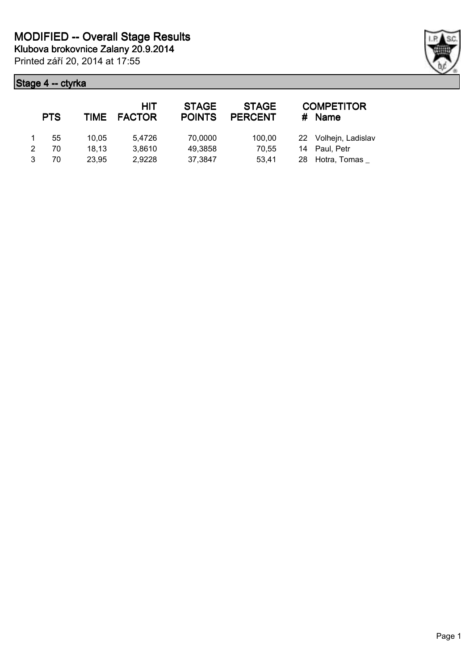|   | <b>PTS</b> | <b>TIME</b> | HIT<br><b>FACTOR</b> | <b>STAGE</b><br><b>POINTS</b> | <b>STAGE</b><br><b>PERCENT</b> | <b>COMPETITOR</b><br># Name |
|---|------------|-------------|----------------------|-------------------------------|--------------------------------|-----------------------------|
|   | 55         | 10.05       | 5.4726               | 70,0000                       | 100,00                         | 22 Volhejn, Ladislav        |
| 2 | 70         | 18,13       | 3,8610               | 49,3858                       | 70,55                          | 14 Paul, Petr               |
|   | 70         | 23,95       | 2,9228               | 37,3847                       | 53.41                          | 28 Hotra, Tomas             |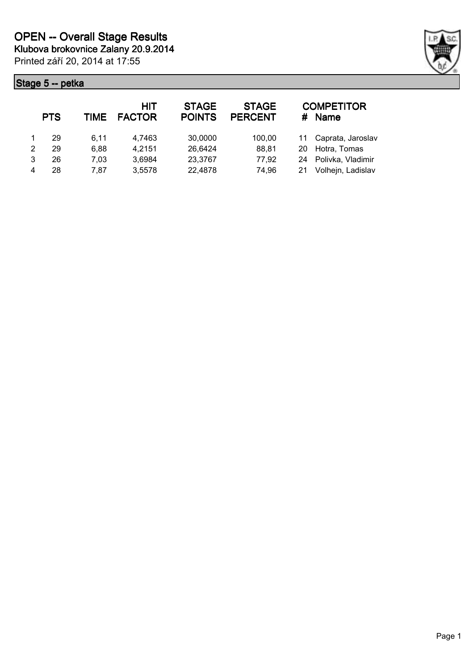

|   | <b>PTS</b> | TIME | <b>HIT</b><br><b>FACTOR</b> | <b>STAGE</b><br><b>POINTS</b> | <b>STAGE</b><br><b>PERCENT</b> | <b>COMPETITOR</b><br>$#$ Name |
|---|------------|------|-----------------------------|-------------------------------|--------------------------------|-------------------------------|
|   | 29         | 6.11 | 4,7463                      | 30,0000                       | 100,00                         | 11 Caprata, Jaroslav          |
| 2 | 29         | 6,88 | 4,2151                      | 26,6424                       | 88,81                          | 20 Hotra, Tomas               |
| 3 | 26         | 7,03 | 3,6984                      | 23,3767                       | 77,92                          | 24 Polivka, Vladimir          |
| 4 | 28         | 7.87 | 3,5578                      | 22,4878                       | 74,96                          | Volhejn, Ladislav             |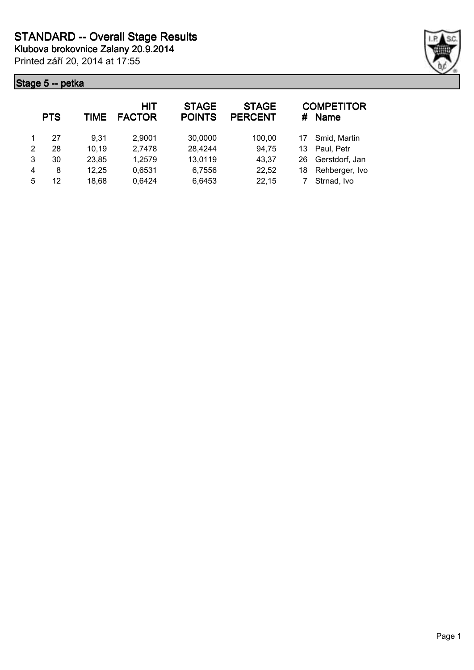

|   | <b>PTS</b> | TIME  | HIT<br><b>FACTOR</b> | <b>STAGE</b><br><b>POINTS</b> | <b>STAGE</b><br><b>PERCENT</b> | #  | <b>COMPETITOR</b><br><b>Name</b> |
|---|------------|-------|----------------------|-------------------------------|--------------------------------|----|----------------------------------|
|   | 27         | 9.31  | 2,9001               | 30,0000                       | 100,00                         | 17 | Smid, Martin                     |
| 2 | 28         | 10,19 | 2,7478               | 28,4244                       | 94,75                          | 13 | Paul, Petr                       |
| 3 | 30         | 23,85 | 1,2579               | 13,0119                       | 43,37                          | 26 | Gerstdorf, Jan                   |
| 4 | 8          | 12,25 | 0,6531               | 6,7556                        | 22,52                          | 18 | Rehberger, Ivo                   |
| 5 | 12         | 18,68 | 0,6424               | 6,6453                        | 22,15                          |    | Strnad, Ivo                      |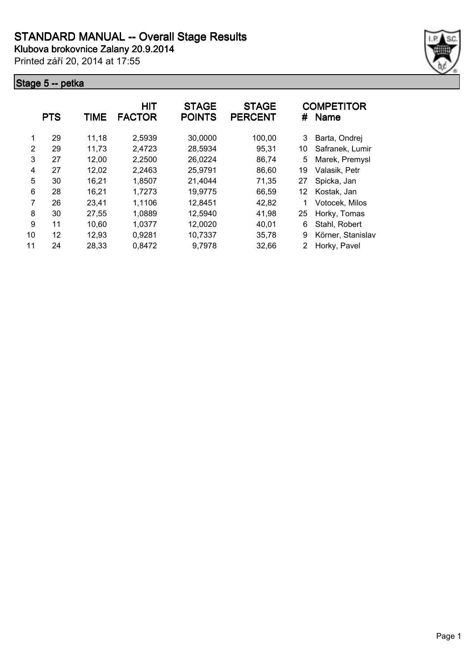

|    | <b>PTS</b> | TIME  | <b>HIT</b><br><b>FACTOR</b> | <b>STAGE</b><br><b>POINTS</b> | <b>STAGE</b><br><b>PERCENT</b> | #  | <b>COMPETITOR</b><br><b>Name</b> |
|----|------------|-------|-----------------------------|-------------------------------|--------------------------------|----|----------------------------------|
| 1  | 29         | 11,18 | 2,5939                      | 30,0000                       | 100,00                         | 3  | Barta, Ondrej                    |
| 2  | 29         | 11,73 | 2,4723                      | 28,5934                       | 95,31                          | 10 | Safranek, Lumir                  |
| 3  | 27         | 12,00 | 2,2500                      | 26,0224                       | 86,74                          | 5  | Marek, Premysl                   |
| 4  | 27         | 12,02 | 2,2463                      | 25,9791                       | 86,60                          | 19 | Valasik, Petr                    |
| 5  | 30         | 16,21 | 1,8507                      | 21,4044                       | 71,35                          | 27 | Spicka, Jan                      |
| 6  | 28         | 16,21 | 1,7273                      | 19,9775                       | 66,59                          | 12 | Kostak, Jan                      |
| 7  | 26         | 23,41 | 1,1106                      | 12,8451                       | 42,82                          |    | Votocek, Milos                   |
| 8  | 30         | 27,55 | 1,0889                      | 12,5940                       | 41,98                          | 25 | Horky, Tomas                     |
| 9  | 11         | 10,60 | 1,0377                      | 12,0020                       | 40,01                          | 6  | Stahl, Robert                    |
| 10 | 12         | 12,93 | 0,9281                      | 10,7337                       | 35,78                          | 9  | Körner, Stanislav                |
| 11 | 24         | 28,33 | 0,8472                      | 9,7978                        | 32,66                          | 2  | Horky, Pavel                     |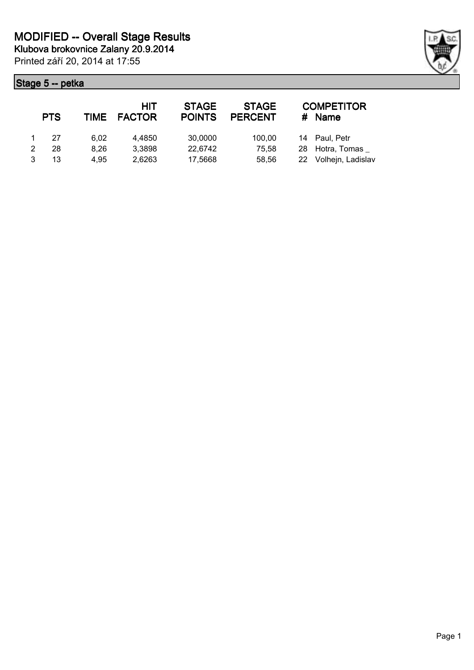| <b>PTS</b> |      | HIT<br>TIME FACTOR | <b>STAGE</b><br><b>POINTS</b> | <b>STAGE</b><br><b>PERCENT</b> | # | <b>COMPETITOR</b><br>Name |
|------------|------|--------------------|-------------------------------|--------------------------------|---|---------------------------|
| 27         | 6.02 | 4.4850             | 30,0000                       | 100,00                         |   | 14 Paul, Petr             |
| 28         | 8.26 | 3,3898             | 22,6742                       | 75,58                          |   | 28 Hotra, Tomas           |
| 13         | 4.95 | 2,6263             | 17,5668                       | 58,56                          |   | 22 Volhejn, Ladislav      |